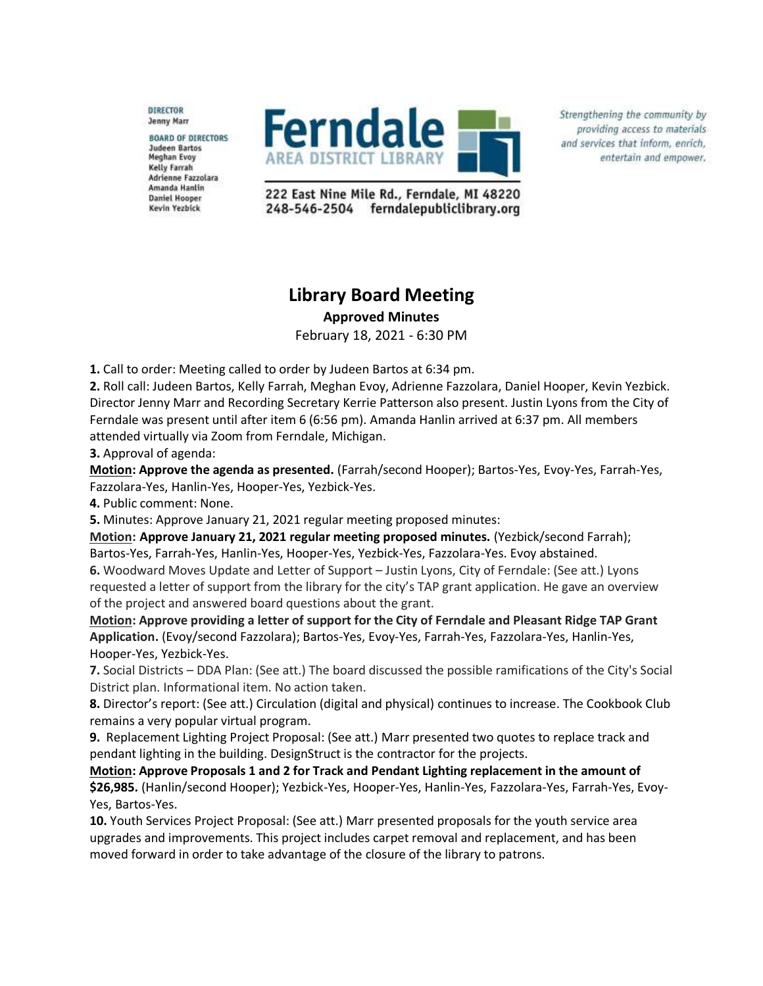**DIRECTOR Jenny Marr** 

**BOARD OF DIRECTORS Judeen Bartos Meghan Evoy** Kelly Farrah Adrienne Fazzolara Amanda Hanlin **Daniel Hooper** Kevin Yezbick



Strengthening the community by providing access to materials and services that inform, enrich, entertain and empower.

222 East Nine Mile Rd., Ferndale, MI 48220 248-546-2504 ferndalepubliclibrary.org

## **Library Board Meeting**

**Approved Minutes**

February 18, 2021 - 6:30 PM

**1.** Call to order: Meeting called to order by Judeen Bartos at 6:34 pm.

**2.** Roll call: Judeen Bartos, Kelly Farrah, Meghan Evoy, Adrienne Fazzolara, Daniel Hooper, Kevin Yezbick. Director Jenny Marr and Recording Secretary Kerrie Patterson also present. Justin Lyons from the City of Ferndale was present until after item 6 (6:56 pm). Amanda Hanlin arrived at 6:37 pm. All members attended virtually via Zoom from Ferndale, Michigan.

**3.** Approval of agenda:

**Motion: Approve the agenda as presented.** (Farrah/second Hooper); Bartos-Yes, Evoy-Yes, Farrah-Yes, Fazzolara-Yes, Hanlin-Yes, Hooper-Yes, Yezbick-Yes.

**4.** Public comment: None.

**5.** Minutes: Approve January 21, 2021 regular meeting proposed minutes:

**Motion: Approve January 21, 2021 regular meeting proposed minutes.** (Yezbick/second Farrah); Bartos-Yes, Farrah-Yes, Hanlin-Yes, Hooper-Yes, Yezbick-Yes, Fazzolara-Yes. Evoy abstained. **6.** Woodward Moves Update and Letter of Support – Justin Lyons, City of Ferndale: (See att.) Lyons requested a letter of support from the library for the city's TAP grant application. He gave an overview of the project and answered board questions about the grant.

**Motion: Approve providing a letter of support for the City of Ferndale and Pleasant Ridge TAP Grant Application.** (Evoy/second Fazzolara); Bartos-Yes, Evoy-Yes, Farrah-Yes, Fazzolara-Yes, Hanlin-Yes, Hooper-Yes, Yezbick-Yes.

**7.** Social Districts – DDA Plan: (See att.) The board discussed the possible ramifications of the City's Social District plan. Informational item. No action taken.

**8.** Director's report: (See att.) Circulation (digital and physical) continues to increase. The Cookbook Club remains a very popular virtual program.

**9.** Replacement Lighting Project Proposal: (See att.) Marr presented two quotes to replace track and pendant lighting in the building. DesignStruct is the contractor for the projects.

**Motion: Approve Proposals 1 and 2 for Track and Pendant Lighting replacement in the amount of \$26,985.** (Hanlin/second Hooper); Yezbick-Yes, Hooper-Yes, Hanlin-Yes, Fazzolara-Yes, Farrah-Yes, Evoy-Yes, Bartos-Yes.

**10.** Youth Services Project Proposal: (See att.) Marr presented proposals for the youth service area upgrades and improvements. This project includes carpet removal and replacement, and has been moved forward in order to take advantage of the closure of the library to patrons.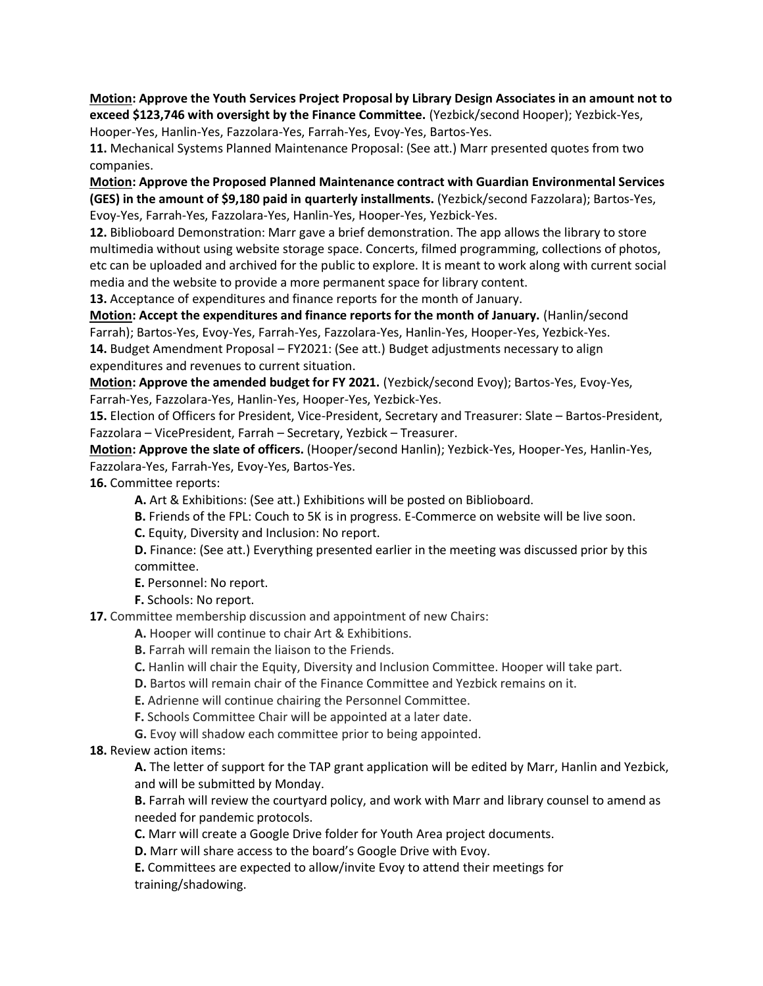**Motion: Approve the Youth Services Project Proposal by Library Design Associates in an amount not to exceed \$123,746 with oversight by the Finance Committee.** (Yezbick/second Hooper); Yezbick-Yes,

Hooper-Yes, Hanlin-Yes, Fazzolara-Yes, Farrah-Yes, Evoy-Yes, Bartos-Yes.

**11.** Mechanical Systems Planned Maintenance Proposal: (See att.) Marr presented quotes from two companies.

**Motion: Approve the Proposed Planned Maintenance contract with Guardian Environmental Services (GES) in the amount of \$9,180 paid in quarterly installments.** (Yezbick/second Fazzolara); Bartos-Yes, Evoy-Yes, Farrah-Yes, Fazzolara-Yes, Hanlin-Yes, Hooper-Yes, Yezbick-Yes.

**12.** Biblioboard Demonstration: Marr gave a brief demonstration. The app allows the library to store multimedia without using website storage space. Concerts, filmed programming, collections of photos, etc can be uploaded and archived for the public to explore. It is meant to work along with current social media and the website to provide a more permanent space for library content.

**13.** Acceptance of expenditures and finance reports for the month of January.

**Motion: Accept the expenditures and finance reports for the month of January.** (Hanlin/second Farrah); Bartos-Yes, Evoy-Yes, Farrah-Yes, Fazzolara-Yes, Hanlin-Yes, Hooper-Yes, Yezbick-Yes. **14.** Budget Amendment Proposal – FY2021: (See att.) Budget adjustments necessary to align expenditures and revenues to current situation.

**Motion: Approve the amended budget for FY 2021.** (Yezbick/second Evoy); Bartos-Yes, Evoy-Yes, Farrah-Yes, Fazzolara-Yes, Hanlin-Yes, Hooper-Yes, Yezbick-Yes.

**15.** Election of Officers for President, Vice-President, Secretary and Treasurer: Slate – Bartos-President, Fazzolara – VicePresident, Farrah – Secretary, Yezbick – Treasurer.

**Motion: Approve the slate of officers.** (Hooper/second Hanlin); Yezbick-Yes, Hooper-Yes, Hanlin-Yes, Fazzolara-Yes, Farrah-Yes, Evoy-Yes, Bartos-Yes.

**16.** Committee reports:

**A.** Art & Exhibitions: (See att.) Exhibitions will be posted on Biblioboard.

**B.** Friends of the FPL: Couch to 5K is in progress. E-Commerce on website will be live soon.

**C.** Equity, Diversity and Inclusion: No report.

**D.** Finance: (See att.) Everything presented earlier in the meeting was discussed prior by this committee.

**E.** Personnel: No report.

**F.** Schools: No report.

**17.** Committee membership discussion and appointment of new Chairs:

**A.** Hooper will continue to chair Art & Exhibitions.

**B.** Farrah will remain the liaison to the Friends.

**C.** Hanlin will chair the Equity, Diversity and Inclusion Committee. Hooper will take part.

**D.** Bartos will remain chair of the Finance Committee and Yezbick remains on it.

**E.** Adrienne will continue chairing the Personnel Committee.

**F.** Schools Committee Chair will be appointed at a later date.

**G.** Evoy will shadow each committee prior to being appointed.

**18.** Review action items:

**A.** The letter of support for the TAP grant application will be edited by Marr, Hanlin and Yezbick, and will be submitted by Monday.

**B.** Farrah will review the courtyard policy, and work with Marr and library counsel to amend as needed for pandemic protocols.

**C.** Marr will create a Google Drive folder for Youth Area project documents.

**D.** Marr will share access to the board's Google Drive with Evoy.

**E.** Committees are expected to allow/invite Evoy to attend their meetings for training/shadowing.